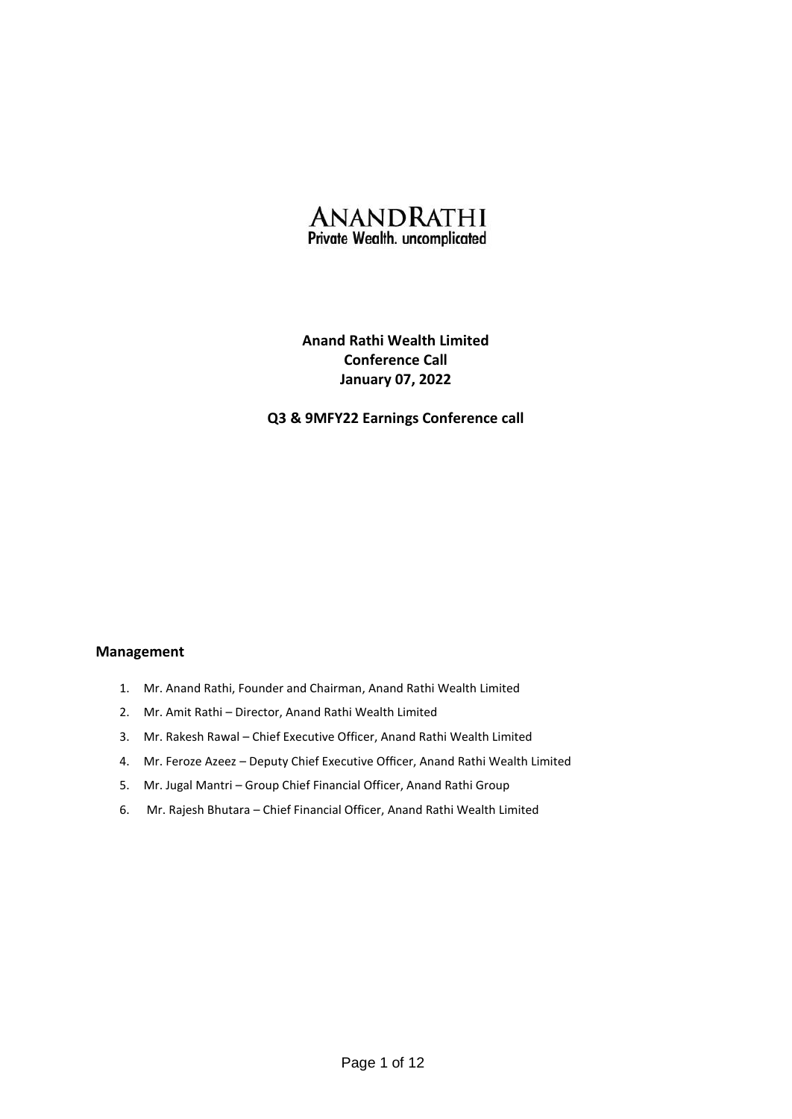

# **Anand Rathi Wealth Limited Conference Call January 07, 2022**

# **Q3 & 9MFY22 Earnings Conference call**

# **Management**

- 1. Mr. Anand Rathi, Founder and Chairman, Anand Rathi Wealth Limited
- 2. Mr. Amit Rathi Director, Anand Rathi Wealth Limited
- 3. Mr. Rakesh Rawal Chief Executive Officer, Anand Rathi Wealth Limited
- 4. Mr. Feroze Azeez Deputy Chief Executive Officer, Anand Rathi Wealth Limited
- 5. Mr. Jugal Mantri Group Chief Financial Officer, Anand Rathi Group
- 6. Mr. Rajesh Bhutara Chief Financial Officer, Anand Rathi Wealth Limited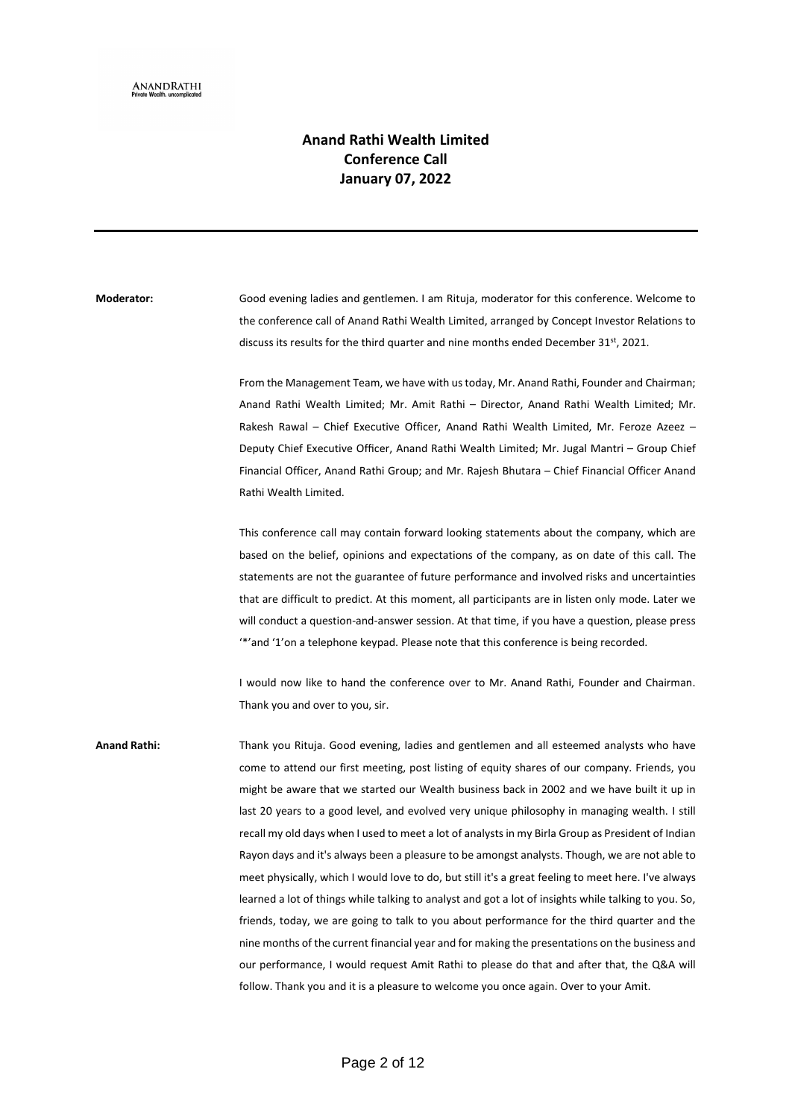# **Anand Rathi Wealth Limited Conference Call January 07, 2022**

**Moderator:** Good evening ladies and gentlemen. I am Rituja, moderator for this conference. Welcome to the conference call of Anand Rathi Wealth Limited, arranged by Concept Investor Relations to discuss its results for the third quarter and nine months ended December 31<sup>st</sup>, 2021.

> From the Management Team, we have with us today, Mr. Anand Rathi, Founder and Chairman; Anand Rathi Wealth Limited; Mr. Amit Rathi – Director, Anand Rathi Wealth Limited; Mr. Rakesh Rawal – Chief Executive Officer, Anand Rathi Wealth Limited, Mr. Feroze Azeez – Deputy Chief Executive Officer, Anand Rathi Wealth Limited; Mr. Jugal Mantri – Group Chief Financial Officer, Anand Rathi Group; and Mr. Rajesh Bhutara – Chief Financial Officer Anand Rathi Wealth Limited.

> This conference call may contain forward looking statements about the company, which are based on the belief, opinions and expectations of the company, as on date of this call. The statements are not the guarantee of future performance and involved risks and uncertainties that are difficult to predict. At this moment, all participants are in listen only mode. Later we will conduct a question-and-answer session. At that time, if you have a question, please press '\*'and '1'on a telephone keypad. Please note that this conference is being recorded.

> I would now like to hand the conference over to Mr. Anand Rathi, Founder and Chairman. Thank you and over to you, sir.

**Anand Rathi:** Thank you Rituja. Good evening, ladies and gentlemen and all esteemed analysts who have come to attend our first meeting, post listing of equity shares of our company. Friends, you might be aware that we started our Wealth business back in 2002 and we have built it up in last 20 years to a good level, and evolved very unique philosophy in managing wealth. I still recall my old days when I used to meet a lot of analysts in my Birla Group as President of Indian Rayon days and it's always been a pleasure to be amongst analysts. Though, we are not able to meet physically, which I would love to do, but still it's a great feeling to meet here. I've always learned a lot of things while talking to analyst and got a lot of insights while talking to you. So, friends, today, we are going to talk to you about performance for the third quarter and the nine months of the current financial year and for making the presentations on the business and our performance, I would request Amit Rathi to please do that and after that, the Q&A will follow. Thank you and it is a pleasure to welcome you once again. Over to your Amit.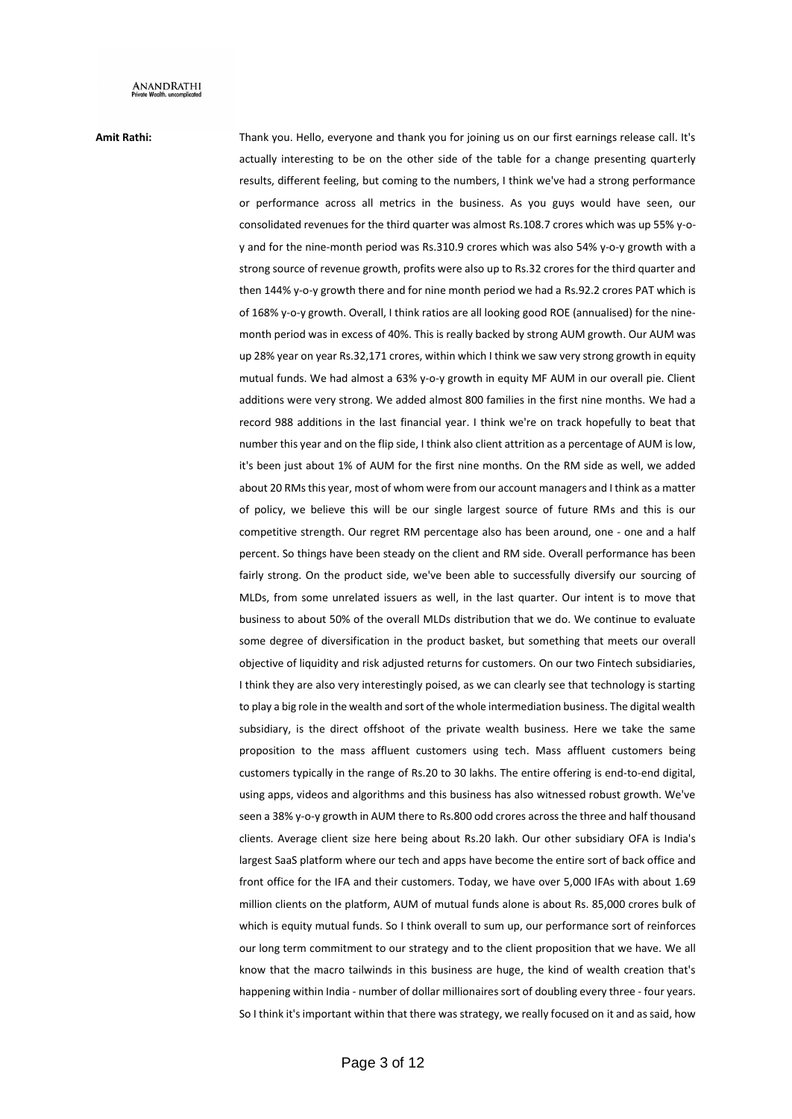**Amit Rathi:** Thank you. Hello, everyone and thank you for joining us on our first earnings release call. It's actually interesting to be on the other side of the table for a change presenting quarterly results, different feeling, but coming to the numbers, I think we've had a strong performance or performance across all metrics in the business. As you guys would have seen, our consolidated revenues for the third quarter was almost Rs.108.7 crores which was up 55% y-oy and for the nine-month period was Rs.310.9 crores which was also 54% y-o-y growth with a strong source of revenue growth, profits were also up to Rs.32 crores for the third quarter and then 144% y-o-y growth there and for nine month period we had a Rs.92.2 crores PAT which is of 168% y-o-y growth. Overall, I think ratios are all looking good ROE (annualised) for the ninemonth period was in excess of 40%. This is really backed by strong AUM growth. Our AUM was up 28% year on year Rs.32,171 crores, within which I think we saw very strong growth in equity mutual funds. We had almost a 63% y-o-y growth in equity MF AUM in our overall pie. Client additions were very strong. We added almost 800 families in the first nine months. We had a record 988 additions in the last financial year. I think we're on track hopefully to beat that number this year and on the flip side, I think also client attrition as a percentage of AUM is low, it's been just about 1% of AUM for the first nine months. On the RM side as well, we added about 20 RMs this year, most of whom were from our account managers and I think as a matter of policy, we believe this will be our single largest source of future RMs and this is our competitive strength. Our regret RM percentage also has been around, one - one and a half percent. So things have been steady on the client and RM side. Overall performance has been fairly strong. On the product side, we've been able to successfully diversify our sourcing of MLDs, from some unrelated issuers as well, in the last quarter. Our intent is to move that business to about 50% of the overall MLDs distribution that we do. We continue to evaluate some degree of diversification in the product basket, but something that meets our overall objective of liquidity and risk adjusted returns for customers. On our two Fintech subsidiaries, I think they are also very interestingly poised, as we can clearly see that technology is starting to play a big role in the wealth and sort of the whole intermediation business. The digital wealth subsidiary, is the direct offshoot of the private wealth business. Here we take the same proposition to the mass affluent customers using tech. Mass affluent customers being customers typically in the range of Rs.20 to 30 lakhs. The entire offering is end-to-end digital, using apps, videos and algorithms and this business has also witnessed robust growth. We've seen a 38% y-o-y growth in AUM there to Rs.800 odd crores across the three and half thousand clients. Average client size here being about Rs.20 lakh. Our other subsidiary OFA is India's largest SaaS platform where our tech and apps have become the entire sort of back office and front office for the IFA and their customers. Today, we have over 5,000 IFAs with about 1.69 million clients on the platform, AUM of mutual funds alone is about Rs. 85,000 crores bulk of which is equity mutual funds. So I think overall to sum up, our performance sort of reinforces our long term commitment to our strategy and to the client proposition that we have. We all know that the macro tailwinds in this business are huge, the kind of wealth creation that's happening within India - number of dollar millionaires sort of doubling every three - four years. So I think it's important within that there was strategy, we really focused on it and as said, how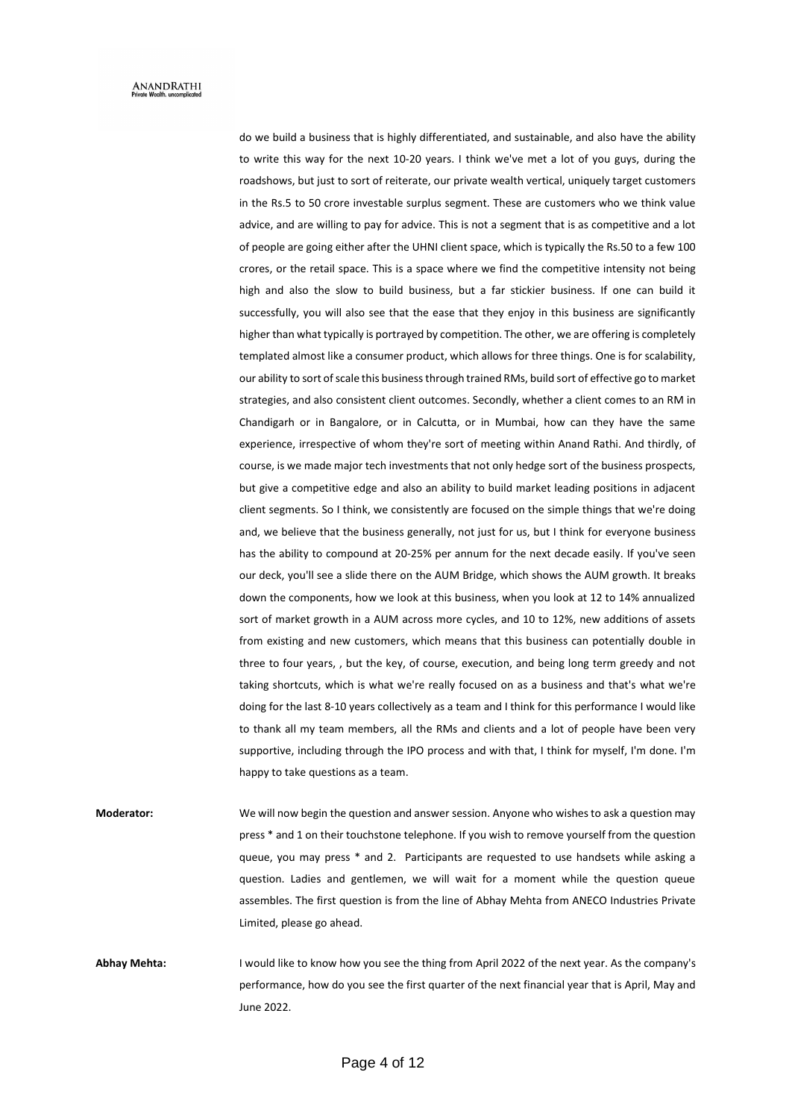do we build a business that is highly differentiated, and sustainable, and also have the ability to write this way for the next 10-20 years. I think we've met a lot of you guys, during the roadshows, but just to sort of reiterate, our private wealth vertical, uniquely target customers in the Rs.5 to 50 crore investable surplus segment. These are customers who we think value advice, and are willing to pay for advice. This is not a segment that is as competitive and a lot of people are going either after the UHNI client space, which is typically the Rs.50 to a few 100 crores, or the retail space. This is a space where we find the competitive intensity not being high and also the slow to build business, but a far stickier business. If one can build it successfully, you will also see that the ease that they enjoy in this business are significantly higher than what typically is portrayed by competition. The other, we are offering is completely templated almost like a consumer product, which allows for three things. One is for scalability, our ability to sort of scale this business through trained RMs, build sort of effective go to market strategies, and also consistent client outcomes. Secondly, whether a client comes to an RM in Chandigarh or in Bangalore, or in Calcutta, or in Mumbai, how can they have the same experience, irrespective of whom they're sort of meeting within Anand Rathi. And thirdly, of course, is we made major tech investments that not only hedge sort of the business prospects, but give a competitive edge and also an ability to build market leading positions in adjacent client segments. So I think, we consistently are focused on the simple things that we're doing and, we believe that the business generally, not just for us, but I think for everyone business has the ability to compound at 20-25% per annum for the next decade easily. If you've seen our deck, you'll see a slide there on the AUM Bridge, which shows the AUM growth. It breaks down the components, how we look at this business, when you look at 12 to 14% annualized sort of market growth in a AUM across more cycles, and 10 to 12%, new additions of assets from existing and new customers, which means that this business can potentially double in three to four years, , but the key, of course, execution, and being long term greedy and not taking shortcuts, which is what we're really focused on as a business and that's what we're doing for the last 8-10 years collectively as a team and I think for this performance I would like to thank all my team members, all the RMs and clients and a lot of people have been very supportive, including through the IPO process and with that, I think for myself, I'm done. I'm happy to take questions as a team.

**Moderator:** We will now begin the question and answer session. Anyone who wishes to ask a question may press \* and 1 on their touchstone telephone. If you wish to remove yourself from the question queue, you may press \* and 2. Participants are requested to use handsets while asking a question. Ladies and gentlemen, we will wait for a moment while the question queue assembles. The first question is from the line of Abhay Mehta from ANECO Industries Private Limited, please go ahead.

**Abhay Mehta:** I would like to know how you see the thing from April 2022 of the next year. As the company's performance, how do you see the first quarter of the next financial year that is April, May and June 2022.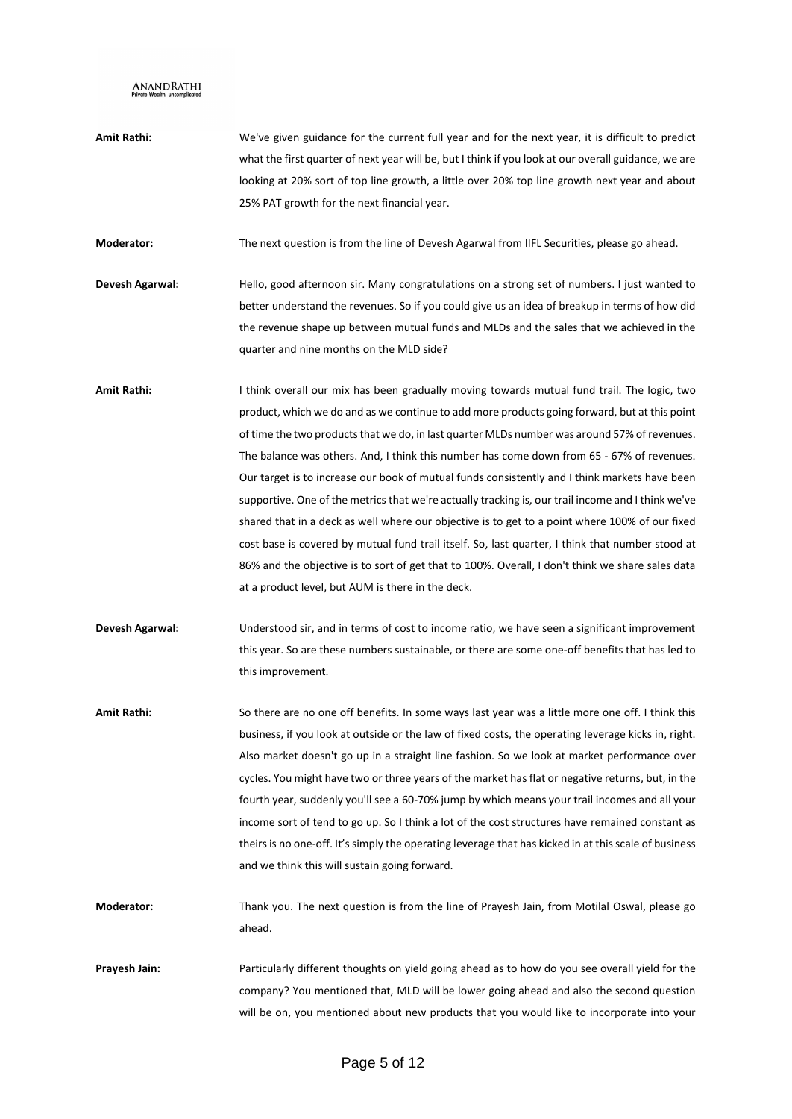**Amit Rathi:** We've given guidance for the current full year and for the next year, it is difficult to predict what the first quarter of next year will be, but I think if you look at our overall guidance, we are looking at 20% sort of top line growth, a little over 20% top line growth next year and about 25% PAT growth for the next financial year.

**Moderator:** The next question is from the line of Devesh Agarwal from IIFL Securities, please go ahead.

- **Devesh Agarwal:** Hello, good afternoon sir. Many congratulations on a strong set of numbers. I just wanted to better understand the revenues. So if you could give us an idea of breakup in terms of how did the revenue shape up between mutual funds and MLDs and the sales that we achieved in the quarter and nine months on the MLD side?
- **Amit Rathi:** I think overall our mix has been gradually moving towards mutual fund trail. The logic, two product, which we do and as we continue to add more products going forward, but at this point of time the two products that we do, in last quarter MLDs number was around 57% of revenues. The balance was others. And, I think this number has come down from 65 - 67% of revenues. Our target is to increase our book of mutual funds consistently and I think markets have been supportive. One of the metrics that we're actually tracking is, our trail income and I think we've shared that in a deck as well where our objective is to get to a point where 100% of our fixed cost base is covered by mutual fund trail itself. So, last quarter, I think that number stood at 86% and the objective is to sort of get that to 100%. Overall, I don't think we share sales data at a product level, but AUM is there in the deck.
- **Devesh Agarwal:** Understood sir, and in terms of cost to income ratio, we have seen a significant improvement this year. So are these numbers sustainable, or there are some one-off benefits that has led to this improvement.
- **Amit Rathi:** So there are no one off benefits. In some ways last year was a little more one off. I think this business, if you look at outside or the law of fixed costs, the operating leverage kicks in, right. Also market doesn't go up in a straight line fashion. So we look at market performance over cycles. You might have two or three years of the market has flat or negative returns, but, in the fourth year, suddenly you'll see a 60-70% jump by which means your trail incomes and all your income sort of tend to go up. So I think a lot of the cost structures have remained constant as theirs is no one-off. It's simply the operating leverage that has kicked in at this scale of business and we think this will sustain going forward.
- **Moderator:** Thank you. The next question is from the line of Prayesh Jain, from Motilal Oswal, please go ahead.
- **Prayesh Jain:** Particularly different thoughts on yield going ahead as to how do you see overall yield for the company? You mentioned that, MLD will be lower going ahead and also the second question will be on, you mentioned about new products that you would like to incorporate into your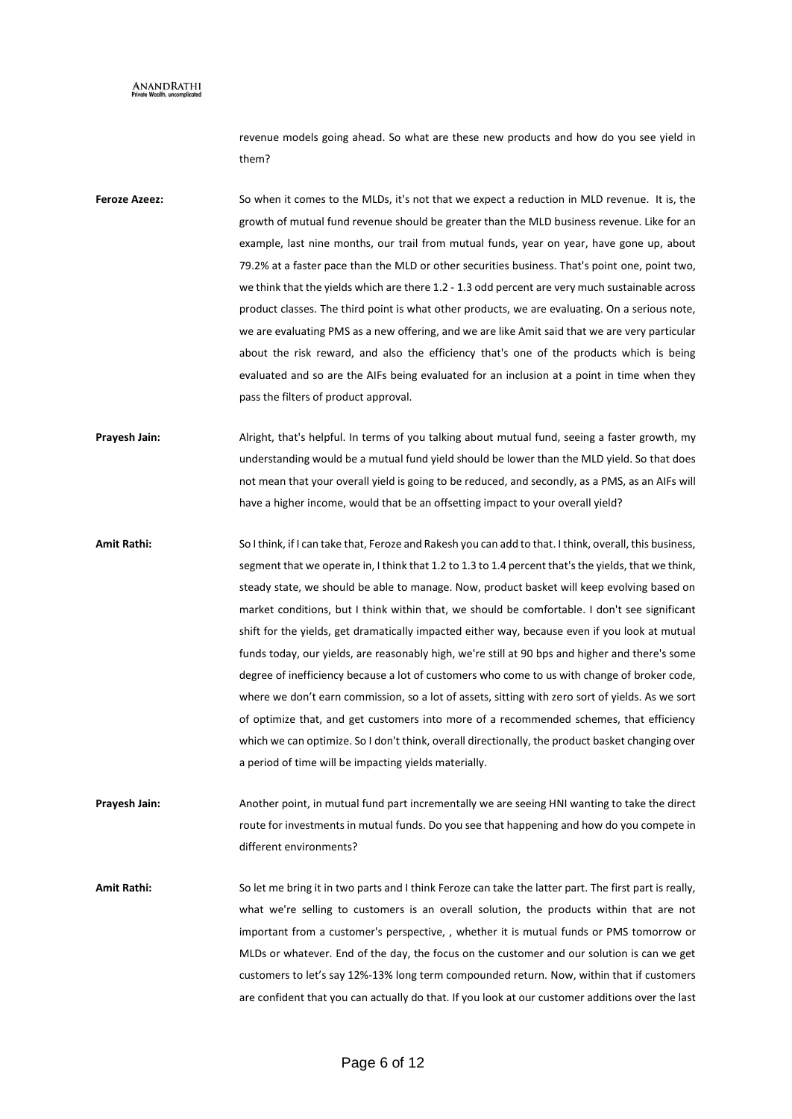revenue models going ahead. So what are these new products and how do you see yield in them?

**Feroze Azeez:** So when it comes to the MLDs, it's not that we expect a reduction in MLD revenue. It is, the growth of mutual fund revenue should be greater than the MLD business revenue. Like for an example, last nine months, our trail from mutual funds, year on year, have gone up, about 79.2% at a faster pace than the MLD or other securities business. That's point one, point two, we think that the yields which are there 1.2 - 1.3 odd percent are very much sustainable across product classes. The third point is what other products, we are evaluating. On a serious note, we are evaluating PMS as a new offering, and we are like Amit said that we are very particular about the risk reward, and also the efficiency that's one of the products which is being evaluated and so are the AIFs being evaluated for an inclusion at a point in time when they pass the filters of product approval.

**Prayesh Jain:** Alright, that's helpful. In terms of you talking about mutual fund, seeing a faster growth, my understanding would be a mutual fund yield should be lower than the MLD yield. So that does not mean that your overall yield is going to be reduced, and secondly, as a PMS, as an AIFs will have a higher income, would that be an offsetting impact to your overall yield?

**Amit Rathi:** So I think, if I can take that, Feroze and Rakesh you can add to that. I think, overall, this business, segment that we operate in, I think that 1.2 to 1.3 to 1.4 percent that's the yields, that we think, steady state, we should be able to manage. Now, product basket will keep evolving based on market conditions, but I think within that, we should be comfortable. I don't see significant shift for the yields, get dramatically impacted either way, because even if you look at mutual funds today, our yields, are reasonably high, we're still at 90 bps and higher and there's some degree of inefficiency because a lot of customers who come to us with change of broker code, where we don't earn commission, so a lot of assets, sitting with zero sort of yields. As we sort of optimize that, and get customers into more of a recommended schemes, that efficiency which we can optimize. So I don't think, overall directionally, the product basket changing over a period of time will be impacting yields materially.

**Prayesh Jain:** Another point, in mutual fund part incrementally we are seeing HNI wanting to take the direct route for investments in mutual funds. Do you see that happening and how do you compete in different environments?

**Amit Rathi:** So let me bring it in two parts and I think Feroze can take the latter part. The first part is really, what we're selling to customers is an overall solution, the products within that are not important from a customer's perspective, , whether it is mutual funds or PMS tomorrow or MLDs or whatever. End of the day, the focus on the customer and our solution is can we get customers to let's say 12%-13% long term compounded return. Now, within that if customers are confident that you can actually do that. If you look at our customer additions over the last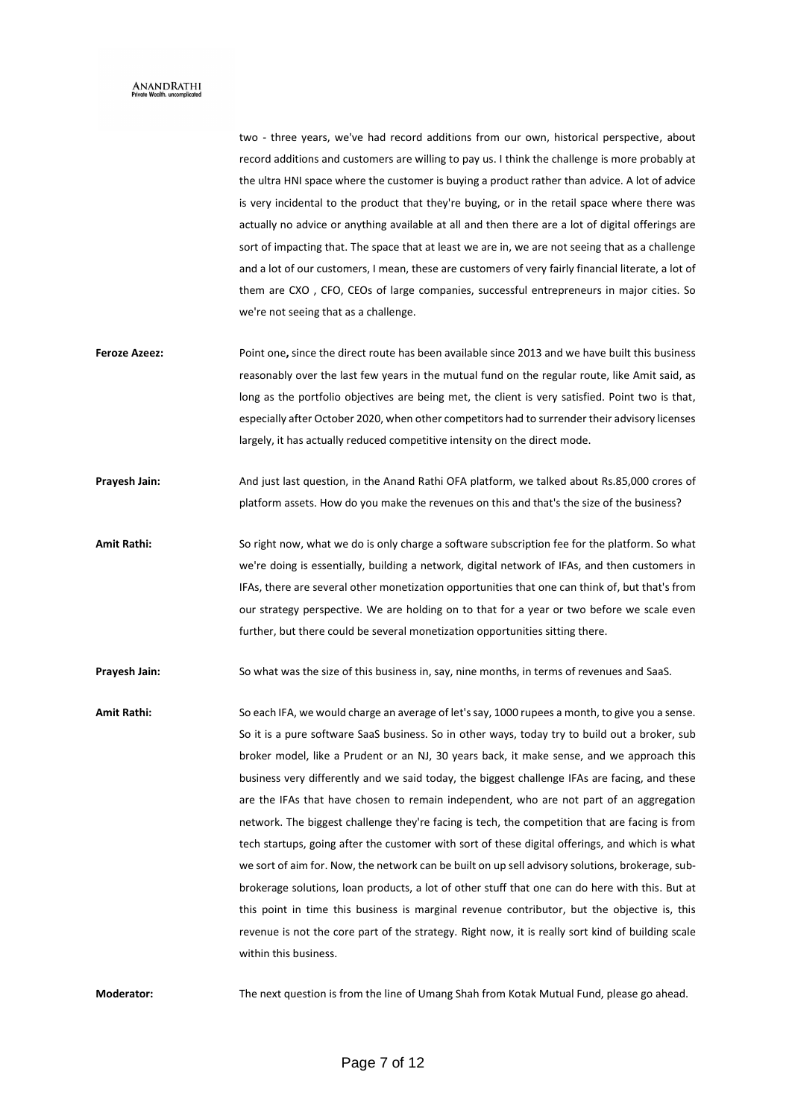two - three years, we've had record additions from our own, historical perspective, about record additions and customers are willing to pay us. I think the challenge is more probably at the ultra HNI space where the customer is buying a product rather than advice. A lot of advice is very incidental to the product that they're buying, or in the retail space where there was actually no advice or anything available at all and then there are a lot of digital offerings are sort of impacting that. The space that at least we are in, we are not seeing that as a challenge and a lot of our customers, I mean, these are customers of very fairly financial literate, a lot of them are CXO , CFO, CEOs of large companies, successful entrepreneurs in major cities. So we're not seeing that as a challenge.

- **Feroze Azeez:** Point one**,** since the direct route has been available since 2013 and we have built this business reasonably over the last few years in the mutual fund on the regular route, like Amit said, as long as the portfolio objectives are being met, the client is very satisfied. Point two is that, especially after October 2020, when other competitors had to surrender their advisory licenses largely, it has actually reduced competitive intensity on the direct mode.
- **Prayesh Jain:** And just last question, in the Anand Rathi OFA platform, we talked about Rs.85,000 crores of platform assets. How do you make the revenues on this and that's the size of the business?
- **Amit Rathi:** So right now, what we do is only charge a software subscription fee for the platform. So what we're doing is essentially, building a network, digital network of IFAs, and then customers in IFAs, there are several other monetization opportunities that one can think of, but that's from our strategy perspective. We are holding on to that for a year or two before we scale even further, but there could be several monetization opportunities sitting there.

**Prayesh Jain:** So what was the size of this business in, say, nine months, in terms of revenues and SaaS.

**Amit Rathi:** So each IFA, we would charge an average of let's say, 1000 rupees a month, to give you a sense. So it is a pure software SaaS business. So in other ways, today try to build out a broker, sub broker model, like a Prudent or an NJ, 30 years back, it make sense, and we approach this business very differently and we said today, the biggest challenge IFAs are facing, and these are the IFAs that have chosen to remain independent, who are not part of an aggregation network. The biggest challenge they're facing is tech, the competition that are facing is from tech startups, going after the customer with sort of these digital offerings, and which is what we sort of aim for. Now, the network can be built on up sell advisory solutions, brokerage, subbrokerage solutions, loan products, a lot of other stuff that one can do here with this. But at this point in time this business is marginal revenue contributor, but the objective is, this revenue is not the core part of the strategy. Right now, it is really sort kind of building scale within this business.

**Moderator:** The next question is from the line of Umang Shah from Kotak Mutual Fund, please go ahead.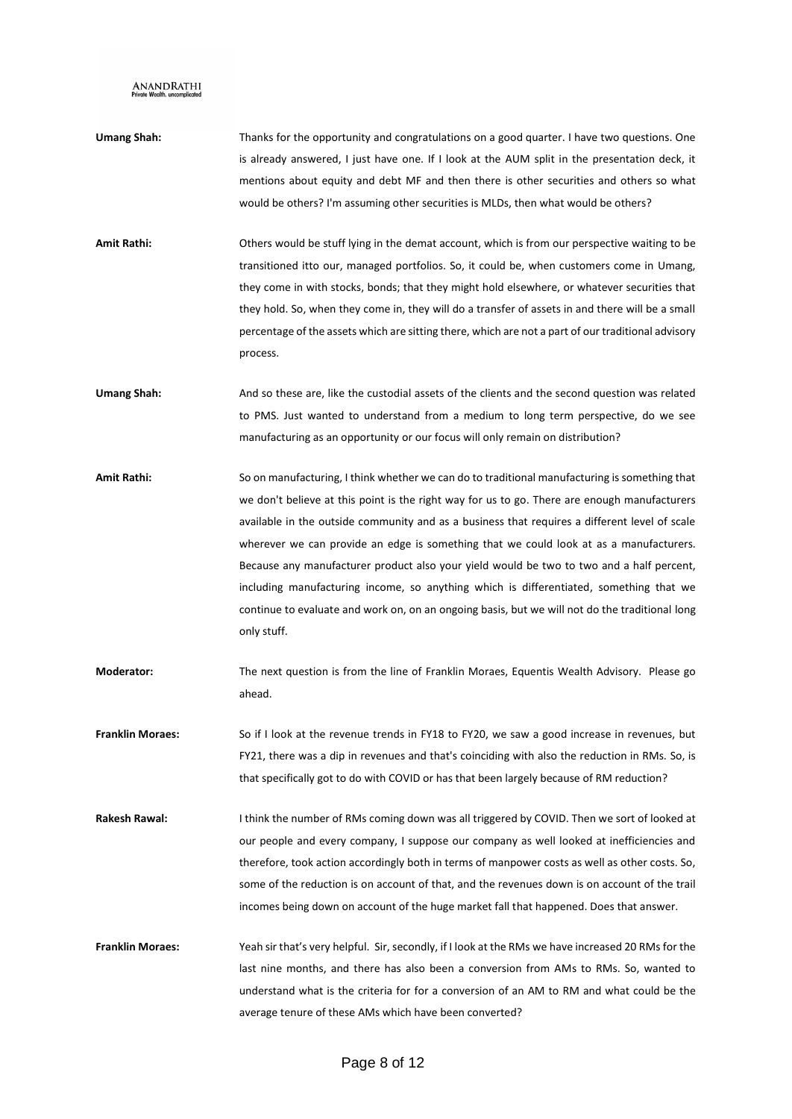- **Umang Shah:** Thanks for the opportunity and congratulations on a good quarter. I have two questions. One is already answered, I just have one. If I look at the AUM split in the presentation deck, it mentions about equity and debt MF and then there is other securities and others so what would be others? I'm assuming other securities is MLDs, then what would be others?
- **Amit Rathi:** Others would be stuff lying in the demat account, which is from our perspective waiting to be transitioned itto our, managed portfolios. So, it could be, when customers come in Umang, they come in with stocks, bonds; that they might hold elsewhere, or whatever securities that they hold. So, when they come in, they will do a transfer of assets in and there will be a small percentage of the assets which are sitting there, which are not a part of our traditional advisory process.
- **Umang Shah:** And so these are, like the custodial assets of the clients and the second question was related to PMS. Just wanted to understand from a medium to long term perspective, do we see manufacturing as an opportunity or our focus will only remain on distribution?
- **Amit Rathi:** So on manufacturing, I think whether we can do to traditional manufacturing is something that we don't believe at this point is the right way for us to go. There are enough manufacturers available in the outside community and as a business that requires a different level of scale wherever we can provide an edge is something that we could look at as a manufacturers. Because any manufacturer product also your yield would be two to two and a half percent, including manufacturing income, so anything which is differentiated, something that we continue to evaluate and work on, on an ongoing basis, but we will not do the traditional long only stuff.
- **Moderator:** The next question is from the line of Franklin Moraes, Equentis Wealth Advisory. Please go ahead.
- **Franklin Moraes:** So if I look at the revenue trends in FY18 to FY20, we saw a good increase in revenues, but FY21, there was a dip in revenues and that's coinciding with also the reduction in RMs. So, is that specifically got to do with COVID or has that been largely because of RM reduction?
- **Rakesh Rawal:** I think the number of RMs coming down was all triggered by COVID. Then we sort of looked at our people and every company, I suppose our company as well looked at inefficiencies and therefore, took action accordingly both in terms of manpower costs as well as other costs. So, some of the reduction is on account of that, and the revenues down is on account of the trail incomes being down on account of the huge market fall that happened. Does that answer.
- **Franklin Moraes:** Yeah sir that's very helpful. Sir, secondly, if I look at the RMs we have increased 20 RMs for the last nine months, and there has also been a conversion from AMs to RMs. So, wanted to understand what is the criteria for for a conversion of an AM to RM and what could be the average tenure of these AMs which have been converted?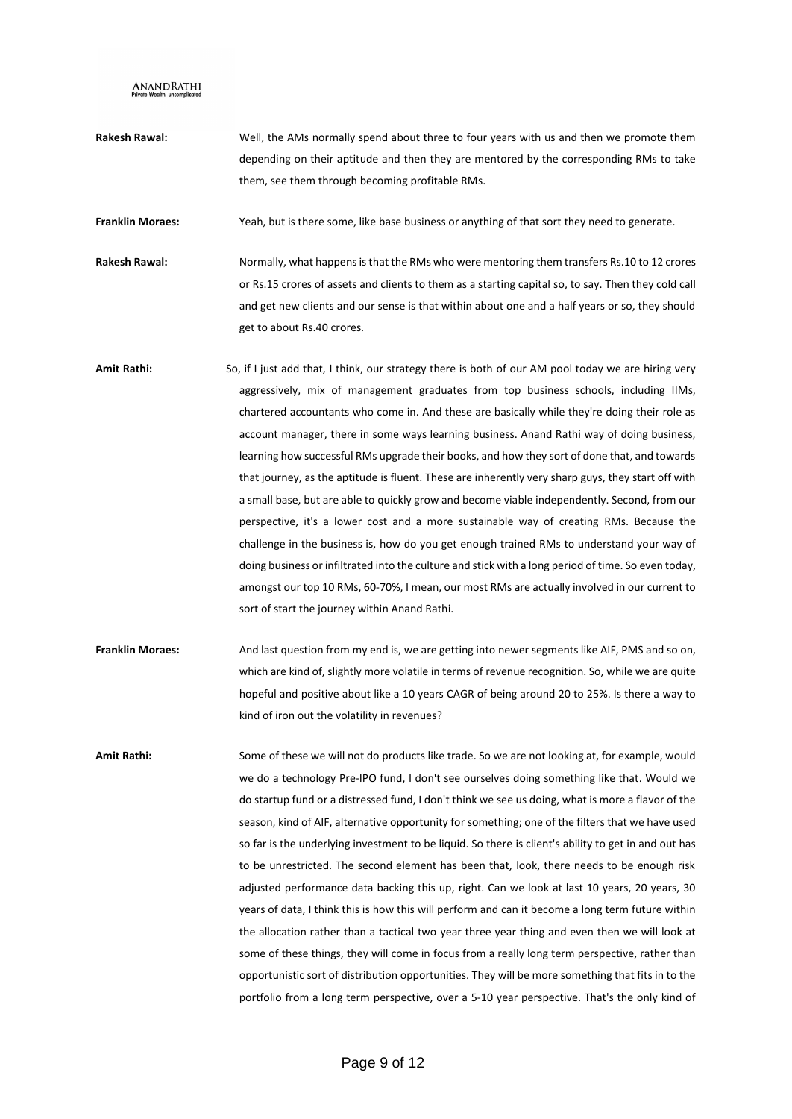**Rakesh Rawal:** Well, the AMs normally spend about three to four years with us and then we promote them depending on their aptitude and then they are mentored by the corresponding RMs to take them, see them through becoming profitable RMs.

**Franklin Moraes:** Yeah, but is there some, like base business or anything of that sort they need to generate.

- **Rakesh Rawal:** Normally, what happens is that the RMs who were mentoring them transfers Rs.10 to 12 crores or Rs.15 crores of assets and clients to them as a starting capital so, to say. Then they cold call and get new clients and our sense is that within about one and a half years or so, they should get to about Rs.40 crores.
- **Amit Rathi:** So, if I just add that, I think, our strategy there is both of our AM pool today we are hiring very aggressively, mix of management graduates from top business schools, including IIMs, chartered accountants who come in. And these are basically while they're doing their role as account manager, there in some ways learning business. Anand Rathi way of doing business, learning how successful RMs upgrade their books, and how they sort of done that, and towards that journey, as the aptitude is fluent. These are inherently very sharp guys, they start off with a small base, but are able to quickly grow and become viable independently. Second, from our perspective, it's a lower cost and a more sustainable way of creating RMs. Because the challenge in the business is, how do you get enough trained RMs to understand your way of doing business or infiltrated into the culture and stick with a long period of time. So even today, amongst our top 10 RMs, 60-70%, I mean, our most RMs are actually involved in our current to sort of start the journey within Anand Rathi.
- **Franklin Moraes:** And last question from my end is, we are getting into newer segments like AIF, PMS and so on, which are kind of, slightly more volatile in terms of revenue recognition. So, while we are quite hopeful and positive about like a 10 years CAGR of being around 20 to 25%. Is there a way to kind of iron out the volatility in revenues?

**Amit Rathi:** Some of these we will not do products like trade. So we are not looking at, for example, would we do a technology Pre-IPO fund, I don't see ourselves doing something like that. Would we do startup fund or a distressed fund, I don't think we see us doing, what is more a flavor of the season, kind of AIF, alternative opportunity for something; one of the filters that we have used so far is the underlying investment to be liquid. So there is client's ability to get in and out has to be unrestricted. The second element has been that, look, there needs to be enough risk adjusted performance data backing this up, right. Can we look at last 10 years, 20 years, 30 years of data, I think this is how this will perform and can it become a long term future within the allocation rather than a tactical two year three year thing and even then we will look at some of these things, they will come in focus from a really long term perspective, rather than opportunistic sort of distribution opportunities. They will be more something that fits in to the portfolio from a long term perspective, over a 5-10 year perspective. That's the only kind of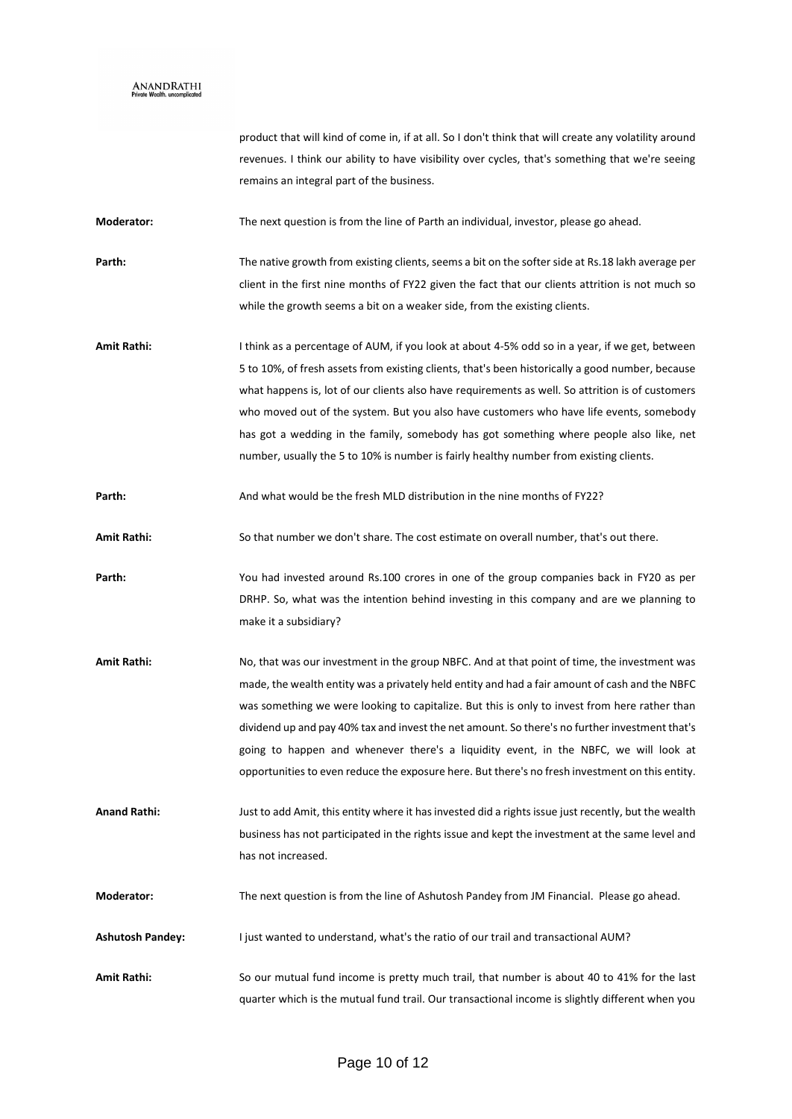product that will kind of come in, if at all. So I don't think that will create any volatility around revenues. I think our ability to have visibility over cycles, that's something that we're seeing remains an integral part of the business.

**Moderator:** The next question is from the line of Parth an individual, investor, please go ahead.

Parth: The native growth from existing clients, seems a bit on the softer side at Rs.18 lakh average per client in the first nine months of FY22 given the fact that our clients attrition is not much so while the growth seems a bit on a weaker side, from the existing clients.

Amit Rathi: I think as a percentage of AUM, if you look at about 4-5% odd so in a year, if we get, between 5 to 10%, of fresh assets from existing clients, that's been historically a good number, because what happens is, lot of our clients also have requirements as well. So attrition is of customers who moved out of the system. But you also have customers who have life events, somebody has got a wedding in the family, somebody has got something where people also like, net number, usually the 5 to 10% is number is fairly healthy number from existing clients.

**Parth:** And what would be the fresh MLD distribution in the nine months of FY22?

**Amit Rathi:** So that number we don't share. The cost estimate on overall number, that's out there.

**Parth:** You had invested around Rs.100 crores in one of the group companies back in FY20 as per DRHP. So, what was the intention behind investing in this company and are we planning to make it a subsidiary?

**Amit Rathi:** No, that was our investment in the group NBFC. And at that point of time, the investment was made, the wealth entity was a privately held entity and had a fair amount of cash and the NBFC was something we were looking to capitalize. But this is only to invest from here rather than dividend up and pay 40% tax and invest the net amount. So there's no further investment that's going to happen and whenever there's a liquidity event, in the NBFC, we will look at opportunities to even reduce the exposure here. But there's no fresh investment on this entity.

**Anand Rathi:** Just to add Amit, this entity where it has invested did a rights issue just recently, but the wealth business has not participated in the rights issue and kept the investment at the same level and has not increased.

**Moderator:** The next question is from the line of Ashutosh Pandey from JM Financial. Please go ahead.

**Ashutosh Pandey:** I just wanted to understand, what's the ratio of our trail and transactional AUM?

**Amit Rathi:** So our mutual fund income is pretty much trail, that number is about 40 to 41% for the last quarter which is the mutual fund trail. Our transactional income is slightly different when you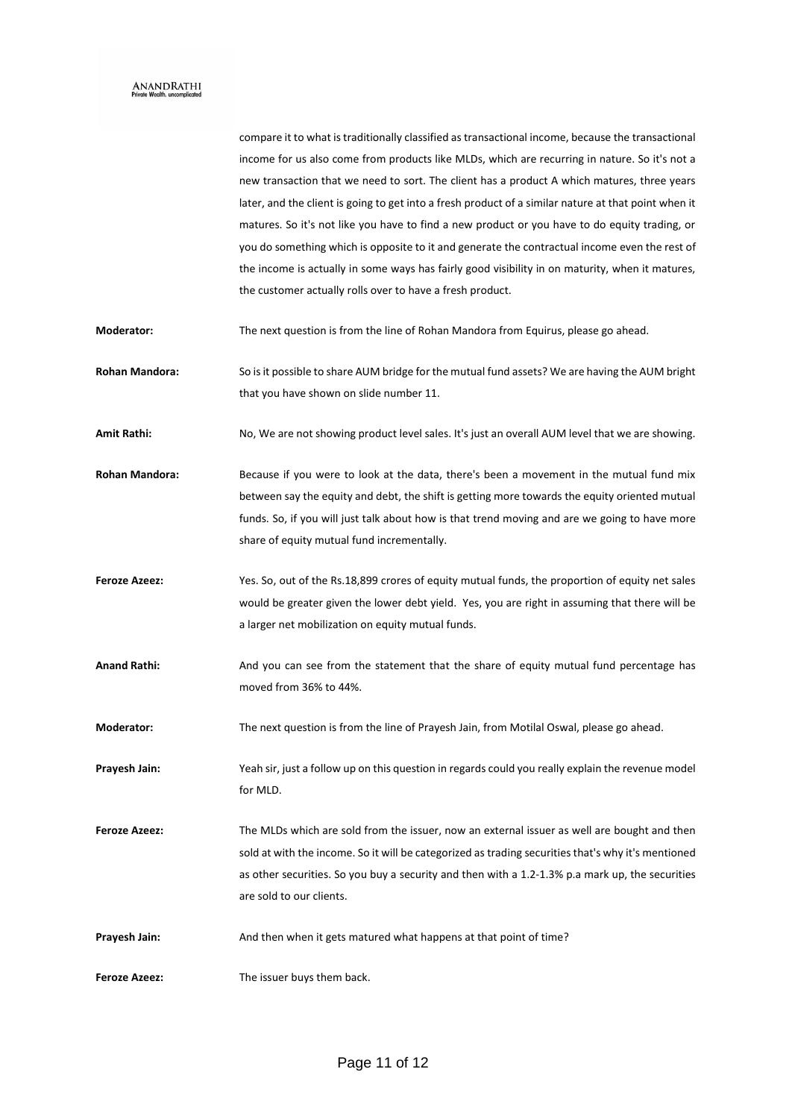# $\mathop{\rm ANAND}\limits_{\rm Private\; Wealth.\;uncomplicated}$

|                      | compare it to what is traditionally classified as transactional income, because the transactional    |
|----------------------|------------------------------------------------------------------------------------------------------|
|                      | income for us also come from products like MLDs, which are recurring in nature. So it's not a        |
|                      | new transaction that we need to sort. The client has a product A which matures, three years          |
|                      | later, and the client is going to get into a fresh product of a similar nature at that point when it |
|                      | matures. So it's not like you have to find a new product or you have to do equity trading, or        |
|                      | you do something which is opposite to it and generate the contractual income even the rest of        |
|                      | the income is actually in some ways has fairly good visibility in on maturity, when it matures,      |
|                      | the customer actually rolls over to have a fresh product.                                            |
| Moderator:           | The next question is from the line of Rohan Mandora from Equirus, please go ahead.                   |
| Rohan Mandora:       | So is it possible to share AUM bridge for the mutual fund assets? We are having the AUM bright       |
|                      | that you have shown on slide number 11.                                                              |
| Amit Rathi:          | No, We are not showing product level sales. It's just an overall AUM level that we are showing.      |
| Rohan Mandora:       | Because if you were to look at the data, there's been a movement in the mutual fund mix              |
|                      | between say the equity and debt, the shift is getting more towards the equity oriented mutual        |
|                      | funds. So, if you will just talk about how is that trend moving and are we going to have more        |
|                      | share of equity mutual fund incrementally.                                                           |
| <b>Feroze Azeez:</b> | Yes. So, out of the Rs.18,899 crores of equity mutual funds, the proportion of equity net sales      |
|                      | would be greater given the lower debt yield. Yes, you are right in assuming that there will be       |
|                      | a larger net mobilization on equity mutual funds.                                                    |
| <b>Anand Rathi:</b>  | And you can see from the statement that the share of equity mutual fund percentage has               |
|                      | moved from 36% to 44%.                                                                               |
| Moderator:           | The next question is from the line of Prayesh Jain, from Motilal Oswal, please go ahead.             |
| Prayesh Jain:        | Yeah sir, just a follow up on this question in regards could you really explain the revenue model    |
|                      | for MLD.                                                                                             |
| <b>Feroze Azeez:</b> | The MLDs which are sold from the issuer, now an external issuer as well are bought and then          |
|                      | sold at with the income. So it will be categorized as trading securities that's why it's mentioned   |
|                      | as other securities. So you buy a security and then with a 1.2-1.3% p.a mark up, the securities      |
|                      | are sold to our clients.                                                                             |
| Prayesh Jain:        | And then when it gets matured what happens at that point of time?                                    |
| <b>Feroze Azeez:</b> | The issuer buys them back.                                                                           |